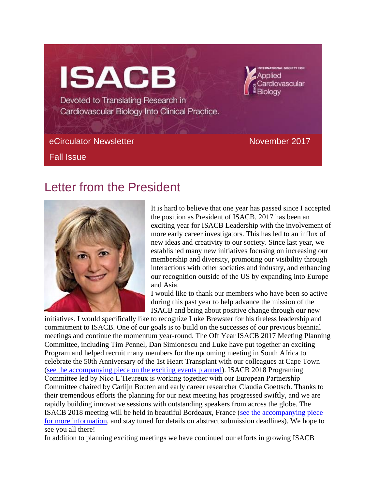# **ISACB**

Devoted to Translating Research in Cardiovascular Biology Into Clinical Practice.

## eCirculator Newsletter Newsletter November 2017

Fall Issue

Applied

Bioloav

Cardiovascular

# Letter from the President



It is hard to believe that one year has passed since I accepted the position as President of ISACB. 2017 has been an exciting year for ISACB Leadership with the involvement of more early career investigators. This has led to an influx of new ideas and creativity to our society. Since last year, we established many new initiatives focusing on increasing our membership and diversity, promoting our visibility through interactions with other societies and industry, and enhancing our recognition outside of the US by expanding into Europe and Asia.

I would like to thank our members who have been so active during this past year to help advance the mission of the ISACB and bring about positive change through our new

initiatives. I would specifically like to recognize Luke Brewster for his tireless leadership and commitment to ISACB. One of our goals is to build on the successes of our previous biennial meetings and continue the momentum year-round. The Off Year ISACB 2017 Meeting Planning Committee, including Tim Pennel, Dan Simionescu and Luke have put together an exciting Program and helped recruit many members for the upcoming meeting in South Africa to celebrate the 50th Anniversary of the 1st Heart Transplant with our colleagues at Cape Town [\(see the accompanying piece on the exciting events planned\)](http://isacb.org/capetown). ISACB 2018 Programing Committee led by Nico L'Heureux is working together with our European Partnership Committee chaired by Carlijn Bouten and early career researcher Claudia Goettsch. Thanks to their tremendous efforts the planning for our next meeting has progressed swiftly, and we are rapidly building innovative sessions with outstanding speakers from across the globe. The ISACB 2018 meeting will be held in beautiful Bordeaux, France [\(see the accompanying piece](http://isacb.org/isacb-16th-biennial-meeting)  [for more information,](http://isacb.org/isacb-16th-biennial-meeting) and stay tuned for details on abstract submission deadlines). We hope to see you all there!

In addition to planning exciting meetings we have continued our efforts in growing ISACB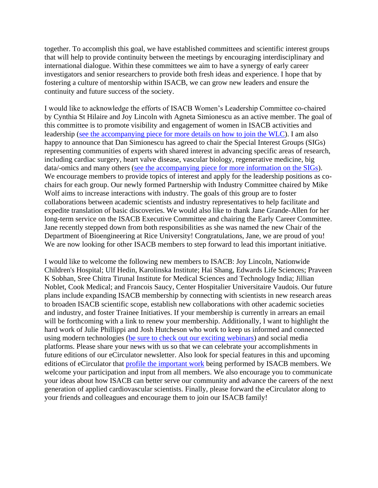together. To accomplish this goal, we have established committees and scientific interest groups that will help to provide continuity between the meetings by encouraging interdisciplinary and international dialogue. Within these committees we aim to have a synergy of early career investigators and senior researchers to provide both fresh ideas and experience. I hope that by fostering a culture of mentorship within ISACB, we can grow new leaders and ensure the continuity and future success of the society.

I would like to acknowledge the efforts of ISACB Women's Leadership Committee co-chaired by Cynthia St Hilaire and Joy Lincoln with Agneta Simionescu as an active member. The goal of this committee is to promote visibility and engagement of women in ISACB activities and leadership [\(see the accompanying piece for more details on how to join the WLC\)](http://isacb.org/womens-leadership-committee). I am also happy to announce that Dan Simionescu has agreed to chair the Special Interest Groups (SIGs) representing communities of experts with shared interest in advancing specific areas of research, including cardiac surgery, heart valve disease, vascular biology, regenerative medicine, big data/-omics and many others [\(see the accompanying piece for more information on the SIGs\)](http://isacb.org/isacb-special-interest-groups). We encourage members to provide topics of interest and apply for the leadership positions as cochairs for each group. Our newly formed Partnership with Industry Committee chaired by Mike Wolf aims to increase interactions with industry. The goals of this group are to foster collaborations between academic scientists and industry representatives to help facilitate and expedite translation of basic discoveries. We would also like to thank Jane Grande-Allen for her long-term service on the ISACB Executive Committee and chairing the Early Career Committee. Jane recently stepped down from both responsibilities as she was named the new Chair of the Department of Bioengineering at Rice University! Congratulations, Jane, we are proud of you! We are now looking for other ISACB members to step forward to lead this important initiative.

I would like to welcome the following new members to ISACB: Joy Lincoln, Nationwide Children's Hospital; Ulf Hedin, Karolinska Institute; Hai Shang, Edwards Life Sciences; Praveen K Sobhan, Sree Chitra Tirunal Institute for Medical Sciences and Technology India; Jillian Noblet, Cook Medical; and Francois Saucy, Center Hospitalier Universitaire Vaudois. Our future plans include expanding ISACB membership by connecting with scientists in new research areas to broaden ISACB scientific scope, establish new collaborations with other academic societies and industry, and foster Trainee Initiatives. If your membership is currently in arrears an email will be forthcoming with a link to renew your membership. Additionally, I want to highlight the hard work of Julie Phillippi and Josh Hutcheson who work to keep us informed and connected using modern technologies [\(be sure to check out our exciting webinars\)](http://isacb.org/webinar-corner-1117) and social media platforms. Please share your news with us so that we can celebrate your accomplishments in future editions of our eCirculator newsletter. Also look for special features in this and upcoming editions of eCirculator that [profile the important work](http://isacb.org/isacb-member-news-1117) being performed by ISACB members. We welcome your participation and input from all members. We also encourage you to communicate your ideas about how ISACB can better serve our community and advance the careers of the next generation of applied cardiovascular scientists. Finally, please forward the eCirculator along to your friends and colleagues and encourage them to join our ISACB family!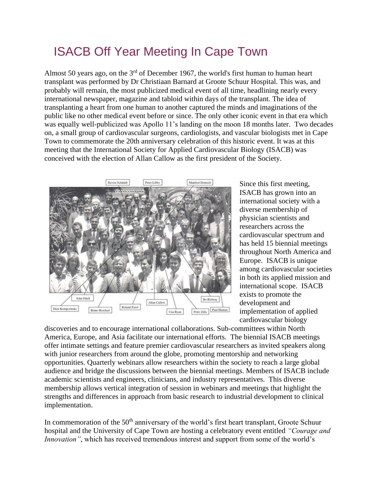# ISACB Off Year Meeting In Cape Town

Almost 50 years ago, on the 3<sup>rd</sup> of December 1967, the world's first human to human heart transplant was performed by Dr Christiaan Barnard at Groote Schuur Hospital. This was, and probably will remain, the most publicized medical event of all time, headlining nearly every international newspaper, magazine and tabloid within days of the transplant. The idea of transplanting a heart from one human to another captured the minds and imaginations of the public like no other medical event before or since. The only other iconic event in that era which was equally well-publicized was Apollo 11's landing on the moon 18 months later. Two decades on, a small group of cardiovascular surgeons, cardiologists, and vascular biologists met in Cape Town to commemorate the 20th anniversary celebration of this historic event. It was at this meeting that the International Society for Applied Cardiovascular Biology (ISACB) was conceived with the election of Allan Callow as the first president of the Society.



Since this first meeting, ISACB has grown into an international society with a diverse membership of physician scientists and researchers across the cardiovascular spectrum and has held 15 biennial meetings throughout North America and Europe. ISACB is unique among cardiovascular societies in both its applied mission and international scope. ISACB exists to promote the development and implementation of applied cardiovascular biology

discoveries and to encourage international collaborations. Sub-committees within North America, Europe, and Asia facilitate our international efforts. The biennial ISACB meetings offer intimate settings and feature premier cardiovascular researchers as invited speakers along with junior researchers from around the globe, promoting mentorship and networking opportunities. Quarterly webinars allow researchers within the society to reach a large global audience and bridge the discussions between the biennial meetings. Members of ISACB include academic scientists and engineers, clinicians, and industry representatives. This diverse membership allows vertical integration of session in webinars and meetings that highlight the strengths and differences in approach from basic research to industrial development to clinical implementation.

In commemoration of the  $50<sup>th</sup>$  anniversary of the world's first heart transplant, Groote Schuur hospital and the University of Cape Town are hosting a celebratory event entitled *"Courage and Innovation"*, which has received tremendous interest and support from some of the world's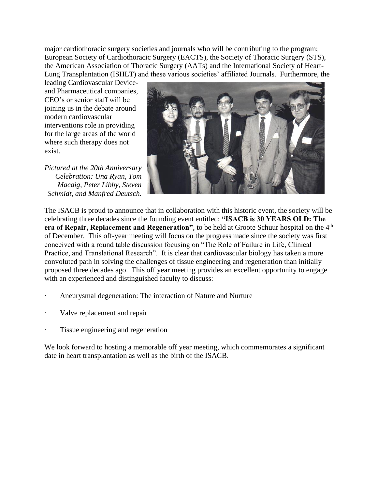major cardiothoracic surgery societies and journals who will be contributing to the program; European Society of Cardiothoracic Surgery (EACTS), the Society of Thoracic Surgery (STS), the American Association of Thoracic Surgery (AATs) and the International Society of Heart-Lung Transplantation (ISHLT) and these various societies' affiliated Journals. Furthermore, the

leading Cardiovascular Deviceand Pharmaceutical companies, CEO's or senior staff will be joining us in the debate around modern cardiovascular interventions role in providing for the large areas of the world where such therapy does not exist.

*Pictured at the 20th Anniversary Celebration: Una Ryan, Tom Macaig, Peter Libby, Steven Schmidt, and Manfred Deutsch.*



The ISACB is proud to announce that in collaboration with this historic event, the society will be celebrating three decades since the founding event entitled; **"ISACB is 30 YEARS OLD: The era of Repair, Replacement and Regeneration", to be held at Groote Schuur hospital on the 4<sup>th</sup>** of December. This off-year meeting will focus on the progress made since the society was first conceived with a round table discussion focusing on "The Role of Failure in Life, Clinical Practice, and Translational Research". It is clear that cardiovascular biology has taken a more convoluted path in solving the challenges of tissue engineering and regeneration than initially proposed three decades ago. This off year meeting provides an excellent opportunity to engage with an experienced and distinguished faculty to discuss:

- Aneurysmal degeneration: The interaction of Nature and Nurture
- Valve replacement and repair
- Tissue engineering and regeneration

We look forward to hosting a memorable off year meeting, which commemorates a significant date in heart transplantation as well as the birth of the ISACB.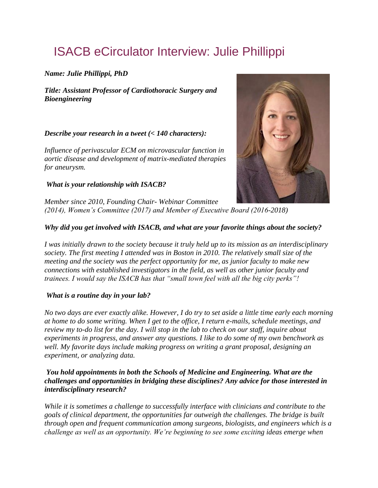# ISACB eCirculator Interview: Julie Phillippi

### *Name: Julie Phillippi, PhD*

*Title: Assistant Professor of Cardiothoracic Surgery and Bioengineering*

### *Describe your research in a tweet (< 140 characters):*

*Influence of perivascular ECM on microvascular function in aortic disease and development of matrix-mediated therapies for aneurysm.*

### *What is your relationship with ISACB?*



*Member since 2010, Founding Chair- Webinar Committee (2014), Women's Committee (2017) and Member of Executive Board (2016-2018)*

### *Why did you get involved with ISACB, and what are your favorite things about the society?*

*I was initially drawn to the society because it truly held up to its mission as an interdisciplinary society. The first meeting I attended was in Boston in 2010. The relatively small size of the meeting and the society was the perfect opportunity for me, as junior faculty to make new connections with established investigators in the field, as well as other junior faculty and trainees. I would say the ISACB has that "small town feel with all the big city perks"!*

### *What is a routine day in your lab?*

*No two days are ever exactly alike. However, I do try to set aside a little time early each morning at home to do some writing. When I get to the office, I return e-mails, schedule meetings, and review my to-do list for the day. I will stop in the lab to check on our staff, inquire about experiments in progress, and answer any questions. I like to do some of my own benchwork as well. My favorite days include making progress on writing a grant proposal, designing an experiment, or analyzing data.*

### *You hold appointments in both the Schools of Medicine and Engineering. What are the challenges and opportunities in bridging these disciplines? Any advice for those interested in interdisciplinary research?*

*While it is sometimes a challenge to successfully interface with clinicians and contribute to the goals of clinical department, the opportunities far outweigh the challenges. The bridge is built through open and frequent communication among surgeons, biologists, and engineers which is a challenge as well as an opportunity. We're beginning to see some exciting ideas emerge when*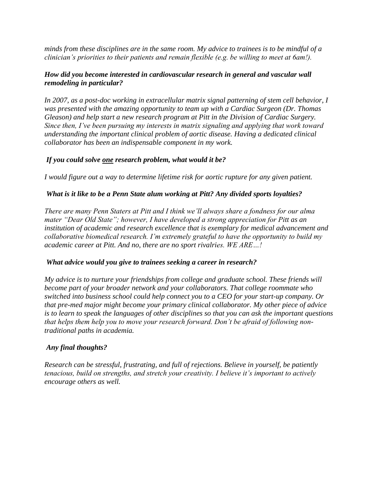*minds from these disciplines are in the same room. My advice to trainees is to be mindful of a clinician's priorities to their patients and remain flexible (e.g. be willing to meet at 6am!).* 

#### *How did you become interested in cardiovascular research in general and vascular wall remodeling in particular?*

*In 2007, as a post-doc working in extracellular matrix signal patterning of stem cell behavior, I was presented with the amazing opportunity to team up with a Cardiac Surgeon (Dr. Thomas Gleason) and help start a new research program at Pitt in the Division of Cardiac Surgery. Since then, I've been pursuing my interests in matrix signaling and applying that work toward understanding the important clinical problem of aortic disease. Having a dedicated clinical collaborator has been an indispensable component in my work.*

### *If you could solve one research problem, what would it be?*

*I would figure out a way to determine lifetime risk for aortic rupture for any given patient.*

#### *What is it like to be a Penn State alum working at Pitt? Any divided sports loyalties?*

*There are many Penn Staters at Pitt and I think we'll always share a fondness for our alma mater "Dear Old State"; however, I have developed a strong appreciation for Pitt as an institution of academic and research excellence that is exemplary for medical advancement and collaborative biomedical research. I'm extremely grateful to have the opportunity to build my academic career at Pitt. And no, there are no sport rivalries. WE ARE…!*

#### *What advice would you give to trainees seeking a career in research?*

*My advice is to nurture your friendships from college and graduate school. These friends will become part of your broader network and your collaborators. That college roommate who switched into business school could help connect you to a CEO for your start-up company. Or that pre-med major might become your primary clinical collaborator. My other piece of advice is to learn to speak the languages of other disciplines so that you can ask the important questions that helps them help you to move your research forward. Don't be afraid of following nontraditional paths in academia.* 

#### *Any final thoughts?*

*Research can be stressful, frustrating, and full of rejections. Believe in yourself, be patiently tenacious, build on strengths, and stretch your creativity. I believe it's important to actively encourage others as well.*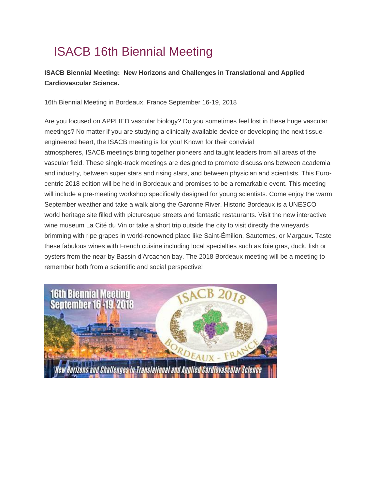# ISACB 16th Biennial Meeting

### **ISACB Biennial Meeting: New Horizons and Challenges in Translational and Applied Cardiovascular Science.**

16th Biennial Meeting in Bordeaux, France September 16-19, 2018

Are you focused on APPLIED vascular biology? Do you sometimes feel lost in these huge vascular meetings? No matter if you are studying a clinically available device or developing the next tissueengineered heart, the ISACB meeting is for you! Known for their convivial atmospheres, ISACB meetings bring together pioneers and taught leaders from all areas of the vascular field. These single-track meetings are designed to promote discussions between academia and industry, between super stars and rising stars, and between physician and scientists. This Eurocentric 2018 edition will be held in Bordeaux and promises to be a remarkable event. This meeting will include a pre-meeting workshop specifically designed for young scientists. Come enjoy the warm September weather and take a walk along the Garonne River. Historic Bordeaux is a UNESCO world heritage site filled with picturesque streets and fantastic restaurants. Visit the new interactive wine museum La Cité du Vin or take a short trip outside the city to visit directly the vineyards brimming with ripe grapes in world-renowned place like Saint-Émilion, Sauternes, or Margaux. Taste these fabulous wines with French cuisine including local specialties such as foie gras, duck, fish or oysters from the near-by Bassin d'Arcachon bay. The 2018 Bordeaux meeting will be a meeting to remember both from a scientific and social perspective!

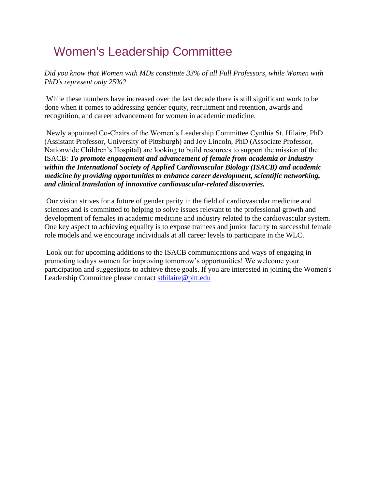# Women's Leadership Committee

*Did you know that Women with MDs constitute 33% of all Full Professors, while Women with PhD's represent only 25%?*

While these numbers have increased over the last decade there is still significant work to be done when it comes to addressing gender equity, recruitment and retention, awards and recognition, and career advancement for women in academic medicine.

Newly appointed Co-Chairs of the Women's Leadership Committee Cynthia St. Hilaire, PhD (Assistant Professor, University of Pittsburgh) and Joy Lincoln, PhD (Associate Professor, Nationwide Children's Hospital) are looking to build resources to support the mission of the ISACB: *To promote engagement and advancement of female from academia or industry within the International Society of Applied Cardiovascular Biology (ISACB) and academic medicine by providing opportunities to enhance career development, scientific networking, and clinical translation of innovative cardiovascular-related discoveries.*

Our vision strives for a future of gender parity in the field of cardiovascular medicine and sciences and is committed to helping to solve issues relevant to the professional growth and development of females in academic medicine and industry related to the cardiovascular system. One key aspect to achieving equality is to expose trainees and junior faculty to successful female role models and we encourage individuals at all career levels to participate in the WLC.

Look out for upcoming additions to the ISACB communications and ways of engaging in promoting todays women for improving tomorrow's opportunities! We welcome your participation and suggestions to achieve these goals. If you are interested in joining the Women's Leadership Committee please contact [sthilaire@pitt.edu](mailto:sthilaire@pitt.edu?subject=ISACB%20WLC)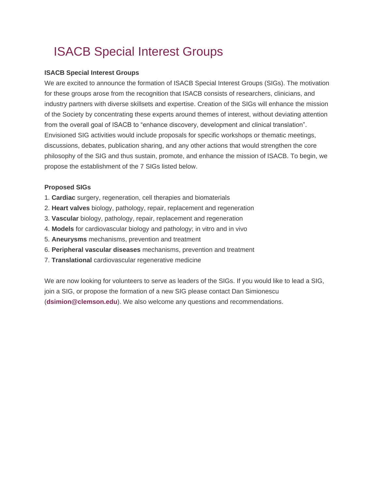# ISACB Special Interest Groups

#### **ISACB Special Interest Groups**

We are excited to announce the formation of ISACB Special Interest Groups (SIGs). The motivation for these groups arose from the recognition that ISACB consists of researchers, clinicians, and industry partners with diverse skillsets and expertise. Creation of the SIGs will enhance the mission of the Society by concentrating these experts around themes of interest, without deviating attention from the overall goal of ISACB to "enhance discovery, development and clinical translation". Envisioned SIG activities would include proposals for specific workshops or thematic meetings, discussions, debates, publication sharing, and any other actions that would strengthen the core philosophy of the SIG and thus sustain, promote, and enhance the mission of ISACB. To begin, we propose the establishment of the 7 SIGs listed below.

#### **Proposed SIGs**

- 1. **Cardiac** surgery, regeneration, cell therapies and biomaterials
- 2. **Heart valves** biology, pathology, repair, replacement and regeneration
- 3. **Vascular** biology, pathology, repair, replacement and regeneration
- 4. **Models** for cardiovascular biology and pathology; in vitro and in vivo
- 5. **Aneurysms** mechanisms, prevention and treatment
- 6. **Peripheral vascular diseases** mechanisms, prevention and treatment
- 7. **Translational** cardiovascular regenerative medicine

We are now looking for volunteers to serve as leaders of the SIGs. If you would like to lead a SIG, join a SIG, or propose the formation of a new SIG please contact Dan Simionescu (**[dsimion@clemson.edu](mailto:dsimion@clemson.edu)**). We also welcome any questions and recommendations.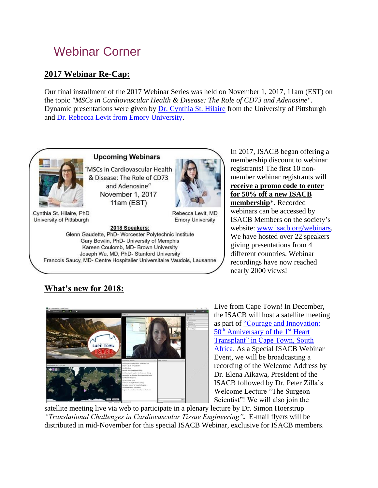# Webinar Corner

# **2017 Webinar Re-Cap:**

Our final installment of the 2017 Webinar Series was held on November 1, 2017, 11am (EST) on the topic *"MSCs in Cardiovascular Health & Disease: The Role of CD73 and Adenosine"*. Dynamic presentations were given by [Dr. Cynthia St. Hilaire](https://www.sthilairelab.pitt.edu/) from the University of Pittsburgh and [Dr. Rebecca Levit from Emory University.](http://medicine.emory.edu/cardiology/faculty-directory/levit-rebecca.html)



2018 Speakers: Glenn Gaudette, PhD- Worcester Polytechnic Institute Gary Bowlin, PhD- University of Memphis Kareen Coulomb, MD- Brown University Joseph Wu, MD, PhD- Stanford University Francois Saucy, MD- Centre Hospitalier Universitaire Vaudois, Lausanne In 2017, ISACB began offering a membership discount to webinar registrants! The first 10 nonmember webinar registrants will **receive a promo code to enter for 50% off a new ISACB membership**\*. Recorded webinars can be accessed by ISACB Members on the society's website: [www.isacb.org/webinars.](http://www.isacb.org/webinars) We have hosted over 22 speakers giving presentations from 4 different countries. Webinar recordings have now reached nearly 2000 views!

# **What's new for 2018:**



Live from Cape Town! In December, the ISACB will host a satellite meeting as part of ["Courage and Innovation:](http://www.1sthtx.com/)   $50<sup>th</sup>$  [Anniversary of the 1](http://www.1sthtx.com/)<sup>st</sup> Heart [Transplant" in Cape Town, South](http://www.1sthtx.com/)  [Africa.](http://www.1sthtx.com/) As a Special ISACB Webinar Event, we will be broadcasting a recording of the Welcome Address by Dr. Elena Aikawa, President of the ISACB followed by Dr. Peter Zilla's Welcome Lecture "The Surgeon Scientist"! We will also join the

satellite meeting live via web to participate in a plenary lecture by Dr. Simon Hoerstrup *"Translational Challenges in Cardiovascular Tissue Engineering".* E-mail flyers will be distributed in mid-November for this special ISACB Webinar, exclusive for ISACB members.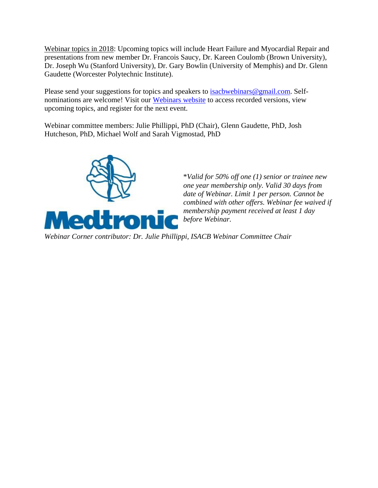Webinar topics in 2018: Upcoming topics will include Heart Failure and Myocardial Repair and presentations from new member Dr. Francois Saucy, Dr. Kareen Coulomb (Brown University), Dr. Joseph Wu (Stanford University), Dr. Gary Bowlin (University of Memphis) and Dr. Glenn Gaudette (Worcester Polytechnic Institute).

Please send your suggestions for topics and speakers to **isacbwebinars@gmail.com**. Selfnominations are welcome! Visit our [Webinars website](http://isacb.org/webinars) to access recorded versions, view upcoming topics, and register for the next event.

Webinar committee members: Julie Phillippi, PhD (Chair), Glenn Gaudette, PhD, Josh Hutcheson, PhD, Michael Wolf and Sarah Vigmostad, PhD



\**Valid for 50% off one (1) senior or trainee new one year membership only. Valid 30 days from date of Webinar. Limit 1 per person. Cannot be combined with other offers. Webinar fee waived if membership payment received at least 1 day before Webinar.*

*Webinar Corner contributor: Dr. Julie Phillippi, ISACB Webinar Committee Chair*